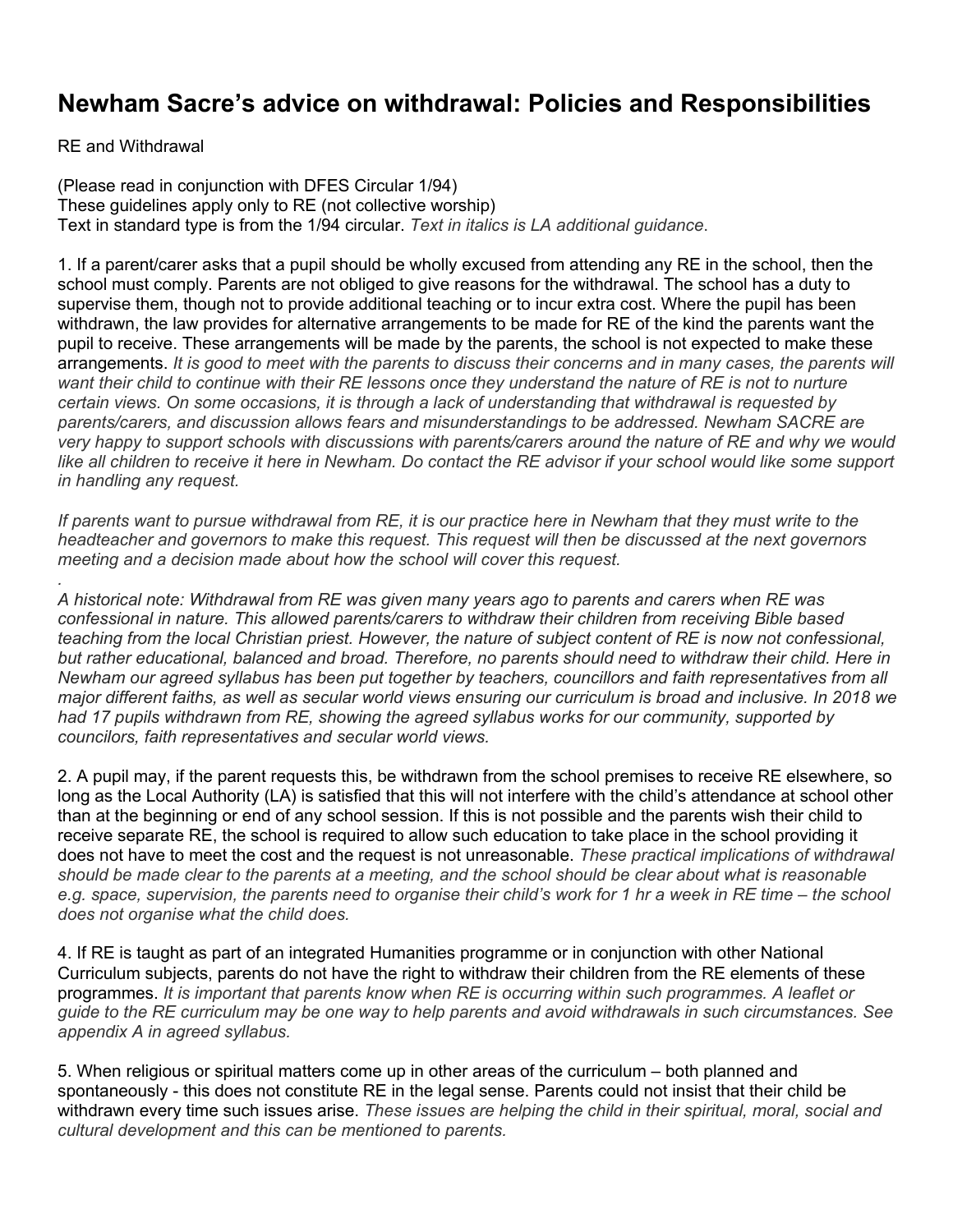## **Newham Sacre's advice on withdrawal: Policies and Responsibilities**

RE and Withdrawal

*.*

(Please read in conjunction with DFES Circular 1/94) These guidelines apply only to RE (not collective worship) Text in standard type is from the 1/94 circular. *Text in italics is LA additional guidance*.

1. If a parent/carer asks that a pupil should be wholly excused from attending any RE in the school, then the school must comply. Parents are not obliged to give reasons for the withdrawal. The school has a duty to supervise them, though not to provide additional teaching or to incur extra cost. Where the pupil has been withdrawn, the law provides for alternative arrangements to be made for RE of the kind the parents want the pupil to receive. These arrangements will be made by the parents, the school is not expected to make these arrangements. *It is good to meet with the parents to discuss their concerns and in many cases, the parents will want their child to continue with their RE lessons once they understand the nature of RE is not to nurture certain views. On some occasions, it is through a lack of understanding that withdrawal is requested by parents/carers, and discussion allows fears and misunderstandings to be addressed. Newham SACRE are very happy to support schools with discussions with parents/carers around the nature of RE and why we would like all children to receive it here in Newham. Do contact the RE advisor if your school would like some support in handling any request.*

*If parents want to pursue withdrawal from RE, it is our practice here in Newham that they must write to the headteacher and governors to make this request. This request will then be discussed at the next governors meeting and a decision made about how the school will cover this request.*

*A historical note: Withdrawal from RE was given many years ago to parents and carers when RE was confessional in nature. This allowed parents/carers to withdraw their children from receiving Bible based teaching from the local Christian priest. However, the nature of subject content of RE is now not confessional, but rather educational, balanced and broad. Therefore, no parents should need to withdraw their child. Here in Newham our agreed syllabus has been put together by teachers, councillors and faith representatives from all major different faiths, as well as secular world views ensuring our curriculum is broad and inclusive. In 2018 we had 17 pupils withdrawn from RE, showing the agreed syllabus works for our community, supported by councilors, faith representatives and secular world views.*

2. A pupil may, if the parent requests this, be withdrawn from the school premises to receive RE elsewhere, so long as the Local Authority (LA) is satisfied that this will not interfere with the child's attendance at school other than at the beginning or end of any school session. If this is not possible and the parents wish their child to receive separate RE, the school is required to allow such education to take place in the school providing it does not have to meet the cost and the request is not unreasonable. *These practical implications of withdrawal should be made clear to the parents at a meeting, and the school should be clear about what is reasonable e.g. space, supervision, the parents need to organise their child's work for 1 hr a week in RE time – the school does not organise what the child does.*

4. If RE is taught as part of an integrated Humanities programme or in conjunction with other National Curriculum subjects, parents do not have the right to withdraw their children from the RE elements of these programmes. *It is important that parents know when RE is occurring within such programmes. A leaflet or guide to the RE curriculum may be one way to help parents and avoid withdrawals in such circumstances. See appendix A in agreed syllabus.*

5. When religious or spiritual matters come up in other areas of the curriculum – both planned and spontaneously - this does not constitute RE in the legal sense. Parents could not insist that their child be withdrawn every time such issues arise. *These issues are helping the child in their spiritual, moral, social and cultural development and this can be mentioned to parents.*